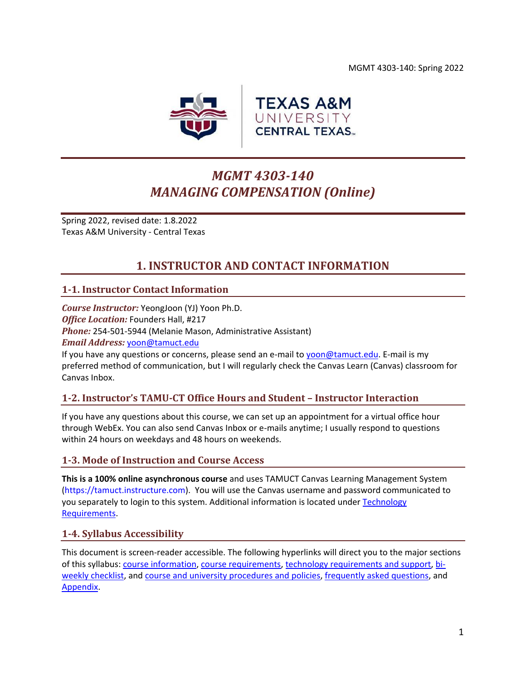MGMT 4303-140: Spring 2022



# *MGMT 4303-140 MANAGING COMPENSATION (Online)*

Spring 2022, revised date: 1.8.2022 Texas A&M University - Central Texas

## **1. INSTRUCTOR AND CONTACT INFORMATION**

## <span id="page-0-0"></span>**1-1. Instructor Contact Information**

*Course Instructor:* YeongJoon (YJ) Yoon Ph.D. *Office Location:* Founders Hall, #217 *Phone:* 254-501-5944 (Melanie Mason, Administrative Assistant) *Email Address:* [yoon@tamuct.edu](mailto:yoon@tamuct.edu)

If you have any questions or concerns, please send an e-mail to [yoon@tamuct.edu.](mailto:yoon@tamuct.edu) E-mail is my preferred method of communication, but I will regularly check the Canvas Learn (Canvas) classroom for Canvas Inbox.

## **1-2. Instructor's TAMU-CT Office Hours and Student – Instructor Interaction**

If you have any questions about this course, we can set up an appointment for a virtual office hour through WebEx. You can also send Canvas Inbox or e-mails anytime; I usually respond to questions within 24 hours on weekdays and 48 hours on weekends.

#### **1-3. Mode of Instruction and Course Access**

**This is a 100% online asynchronous course** and uses TAMUCT Canvas Learning Management System (https://tamuct.instructure.com). You will use the Canvas username and password communicated to you separately to login to this system. Additional information is located under [Technology](#page-6-0)  [Requirements.](#page-6-0)

#### **1-4. Syllabus Accessibility**

This document is screen-reader accessible. The following hyperlinks will direct you to the major sections of this syllabus: course [information,](#page-1-0) [course requirements,](#page-2-0) [technology requirements and support,](#page-6-1) [bi](#page-7-0)[weekly checklist,](#page-7-0) and [course and university procedures and policies,](#page-16-0) [frequently asked questions,](#page-18-0) and [Appendix.](#page-21-0)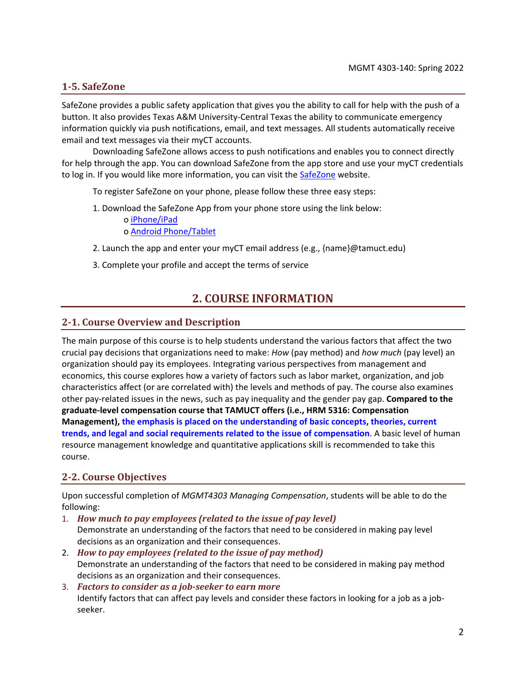### **1-5. SafeZone**

<span id="page-1-0"></span>SafeZone provides a public safety application that gives you the ability to call for help with the push of a button. It also provides Texas A&M University-Central Texas the ability to communicate emergency information quickly via push notifications, email, and text messages. All students automatically receive email and text messages via their myCT accounts.

Downloading SafeZone allows access to push notifications and enables you to connect directly for help through the app. You can download SafeZone from the app store and use your myCT credentials to log in. If you would like more information, you can visit the [SafeZone](http://www.safezoneapp.com/) website.

To register SafeZone on your phone, please follow these three easy steps:

1. Download the SafeZone App from your phone store using the link below: o [iPhone/iPad](https://apps.apple.com/app/safezone/id533054756)

o [Android Phone/Tablet](https://play.google.com/store/apps/details?id=com.criticalarc.safezoneapp)

- 2. Launch the app and enter your myCT email address (e.g., {name}@tamuct.edu)
- 3. Complete your profile and accept the terms of service

## **2. COURSE INFORMATION**

#### **2-1. Course Overview and Description**

The main purpose of this course is to help students understand the various factors that affect the two crucial pay decisions that organizations need to make: *How* (pay method) and *how much* (pay level) an organization should pay its employees. Integrating various perspectives from management and economics, this course explores how a variety of factors such as labor market, organization, and job characteristics affect (or are correlated with) the levels and methods of pay. The course also examines other pay-related issues in the news, such as pay inequality and the gender pay gap. **Compared to the graduate-level compensation course that TAMUCT offers (i.e., HRM 5316: Compensation Management), the emphasis is placed on the understanding of basic concepts, theories, current trends, and legal and social requirements related to the issue of compensation**. A basic level of human resource management knowledge and quantitative applications skill is recommended to take this course.

## **2-2. Course Objectives**

Upon successful completion of *MGMT4303 Managing Compensation*, students will be able to do the following:

- 1. *How much to pay employees (related to the issue of pay level)* Demonstrate an understanding of the factors that need to be considered in making pay level decisions as an organization and their consequences.
- 2. *How to pay employees (related to the issue of pay method)* Demonstrate an understanding of the factors that need to be considered in making pay method decisions as an organization and their consequences.
- 3. *Factors to consider as a job-seeker to earn more* Identify factors that can affect pay levels and consider these factors in looking for a job as a jobseeker.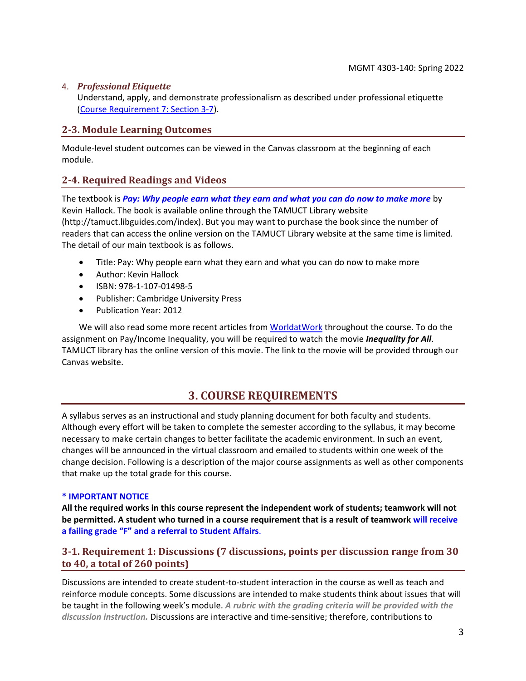#### 4. *Professional Etiquette*

Understand, apply, and demonstrate professionalism as described under professional etiquette [\(Course Requirement 7: Section 3-7\)](#page-4-0).

### **2-3. Module Learning Outcomes**

Module-level student outcomes can be viewed in the Canvas classroom at the beginning of each module.

## **2-4. Required Readings and Videos**

The textbook is *Pay: Why people earn what they earn and what you can do now to make more* by Kevin Hallock. The book is available online through the TAMUCT Library website (http://tamuct.libguides.com/index). But you may want to purchase the book since the number of readers that can access the online version on the TAMUCT Library website at the same time is limited. The detail of our main textbook is as follows.

- Title: Pay: Why people earn what they earn and what you can do now to make more
- Author: Kevin Hallock
- ISBN: 978-1-107-01498-5
- Publisher: Cambridge University Press
- Publication Year: 2012

We will also read some more recent articles from [WorldatWork](https://worldatwork.org/) throughout the course. To do the assignment on Pay/Income Inequality, you will be required to watch the movie *Inequality for All*. TAMUCT library has the online version of this movie. The link to the movie will be provided through our Canvas website.

## **3. COURSE REQUIREMENTS**

<span id="page-2-0"></span>A syllabus serves as an instructional and study planning document for both faculty and students. Although every effort will be taken to complete the semester according to the syllabus, it may become necessary to make certain changes to better facilitate the academic environment. In such an event, changes will be announced in the virtual classroom and emailed to students within one week of the change decision. Following is a description of the major course assignments as well as other components that make up the total grade for this course.

#### **\* IMPORTANT NOTICE**

**All the required works in this course represent the independent work of students; teamwork will not be permitted. A student who turned in a course requirement that is a result of teamwork will receive a failing grade "F" and a referral to Student Affairs**.

## **3-1. Requirement 1: Discussions (7 discussions, points per discussion range from 30 to 40, a total of 260 points)**

Discussions are intended to create student-to-student interaction in the course as well as teach and reinforce module concepts. Some discussions are intended to make students think about issues that will be taught in the following week's module. *A rubric with the grading criteria will be provided with the discussion instruction.* Discussions are interactive and time-sensitive; therefore, contributions to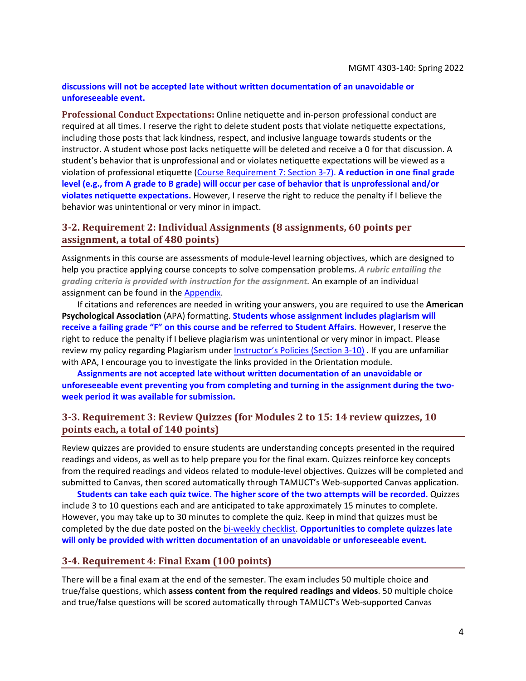#### **discussions will not be accepted late without written documentation of an unavoidable or unforeseeable event.**

**Professional Conduct Expectations:** Online netiquette and in-person professional conduct are required at all times. I reserve the right to delete student posts that violate netiquette expectations, including those posts that lack kindness, respect, and inclusive language towards students or the instructor. A student whose post lacks netiquette will be deleted and receive a 0 for that discussion. A student's behavior that is unprofessional and or violates netiquette expectations will be viewed as a violation of professional etiquette [\(Course Requirement 7: Section 3-7\)](#page-4-0). **A reduction in one final grade level (e.g., from A grade to B grade) will occur per case of behavior that is unprofessional and/or violates netiquette expectations.** However, I reserve the right to reduce the penalty if I believe the behavior was unintentional or very minor in impact.

### **3-2. Requirement 2: Individual Assignments (8 assignments, 60 points per assignment, a total of 480 points)**

Assignments in this course are assessments of module-level learning objectives, which are designed to help you practice applying course concepts to solve compensation problems. *A rubric entailing the grading criteria is provided with instruction for the assignment.* An example of an individual assignment can be found in the [Appendix.](#page-21-0)

If citations and references are needed in writing your answers, you are required to use the **American Psychological Association** (APA) formatting. **Students whose assignment includes plagiarism will receive a failing grade "F" on this course and be referred to Student Affairs.** However, I reserve the right to reduce the penalty if I believe plagiarism was unintentional or very minor in impact. Please review my policy regarding Plagiarism under Instructor's Policies [\(Section 3-10\)](#page-5-0) . If you are unfamiliar with APA, I encourage you to investigate the links provided in the Orientation module.

**Assignments are not accepted late without written documentation of an unavoidable or unforeseeable event preventing you from completing and turning in the assignment during the twoweek period it was available for submission.**

### **3-3. Requirement 3: Review Quizzes (for Modules 2 to 15: 14 review quizzes, 10 points each, a total of 140 points)**

Review quizzes are provided to ensure students are understanding concepts presented in the required readings and videos, as well as to help prepare you for the final exam. Quizzes reinforce key concepts from the required readings and videos related to module-level objectives. Quizzes will be completed and submitted to Canvas, then scored automatically through TAMUCT's Web-supported Canvas application.

**Students can take each quiz twice. The higher score of the two attempts will be recorded.** Quizzes include 3 to 10 questions each and are anticipated to take approximately 15 minutes to complete. However, you may take up to 30 minutes to complete the quiz. Keep in mind that quizzes must be completed by the due date posted on the [bi-weekly checklist.](#page-7-0) **Opportunities to complete quizzes late will only be provided with written documentation of an unavoidable or unforeseeable event.**

#### **3-4. Requirement 4: Final Exam (100 points)**

There will be a final exam at the end of the semester. The exam includes 50 multiple choice and true/false questions, which **assess content from the required readings and videos**. 50 multiple choice and true/false questions will be scored automatically through TAMUCT's Web-supported Canvas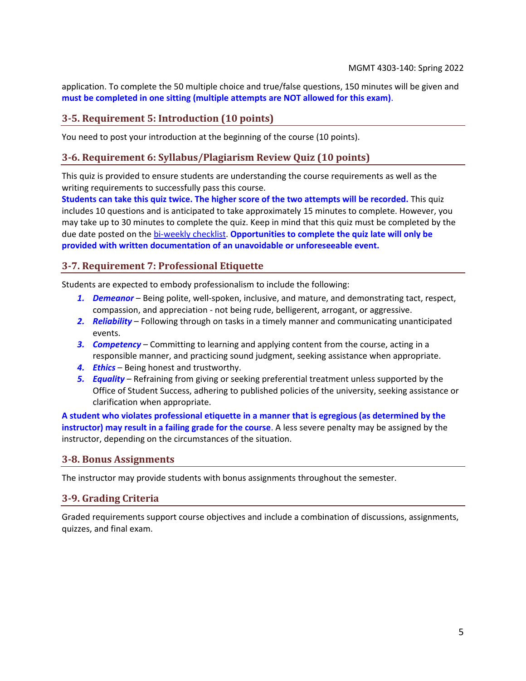application. To complete the 50 multiple choice and true/false questions, 150 minutes will be given and **must be completed in one sitting (multiple attempts are NOT allowed for this exam)**.

#### **3-5. Requirement 5: Introduction (10 points)**

You need to post your introduction at the beginning of the course (10 points).

#### **3-6. Requirement 6: Syllabus/Plagiarism Review Quiz (10 points)**

This quiz is provided to ensure students are understanding the course requirements as well as the writing requirements to successfully pass this course.

**Students can take this quiz twice. The higher score of the two attempts will be recorded.** This quiz includes 10 questions and is anticipated to take approximately 15 minutes to complete. However, you may take up to 30 minutes to complete the quiz. Keep in mind that this quiz must be completed by the due date posted on the [bi-weekly checklist.](#page-7-0) **Opportunities to complete the quiz late will only be provided with written documentation of an unavoidable or unforeseeable event.**

#### <span id="page-4-0"></span>**3-7. Requirement 7: Professional Etiquette**

Students are expected to embody professionalism to include the following:

- *1. Demeanor* Being polite, well-spoken, inclusive, and mature, and demonstrating tact, respect, compassion, and appreciation - not being rude, belligerent, arrogant, or aggressive.
- *2. Reliability* Following through on tasks in a timely manner and communicating unanticipated events.
- *3. Competency* Committing to learning and applying content from the course, acting in a responsible manner, and practicing sound judgment, seeking assistance when appropriate.
- *4. Ethics* Being honest and trustworthy.
- *5. Equality* Refraining from giving or seeking preferential treatment unless supported by the Office of Student Success, adhering to published policies of the university, seeking assistance or clarification when appropriate.

**A student who violates professional etiquette in a manner that is egregious (as determined by the instructor) may result in a failing grade for the course**. A less severe penalty may be assigned by the instructor, depending on the circumstances of the situation.

#### **3-8. Bonus Assignments**

The instructor may provide students with bonus assignments throughout the semester.

#### <span id="page-4-1"></span>**3-9. Grading Criteria**

Graded requirements support course objectives and include a combination of discussions, assignments, quizzes, and final exam.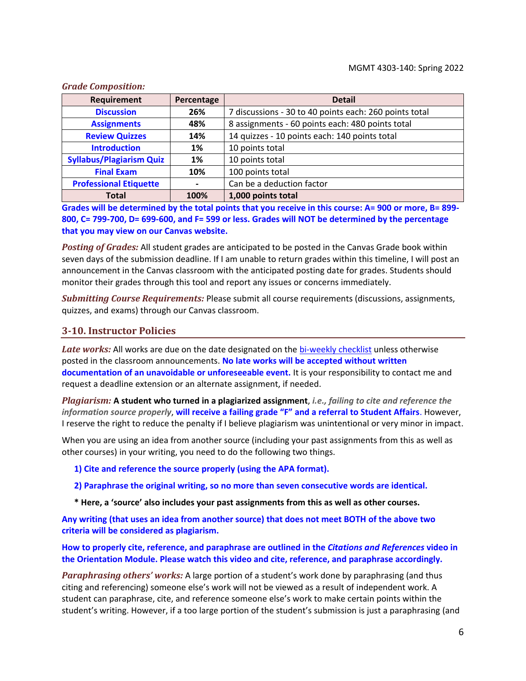| Requirement                     | Percentage | <b>Detail</b>                                          |
|---------------------------------|------------|--------------------------------------------------------|
| <b>Discussion</b>               | 26%        | 7 discussions - 30 to 40 points each: 260 points total |
| <b>Assignments</b>              | 48%        | 8 assignments - 60 points each: 480 points total       |
| <b>Review Quizzes</b>           | 14%        | 14 quizzes - 10 points each: 140 points total          |
| <b>Introduction</b>             | 1%         | 10 points total                                        |
| <b>Syllabus/Plagiarism Quiz</b> | 1%         | 10 points total                                        |
| <b>Final Exam</b>               | 10%        | 100 points total                                       |
| <b>Professional Etiquette</b>   |            | Can be a deduction factor                              |
| <b>Total</b>                    | 100%       | 1,000 points total                                     |

*Grade Composition:*

**Grades will be determined by the total points that you receive in this course: A= 900 or more, B= 899- 800, C= 799-700, D= 699-600, and F= 599 or less. Grades will NOT be determined by the percentage that you may view on our Canvas website.**

*Posting of Grades:* All student grades are anticipated to be posted in the Canvas Grade book within seven days of the submission deadline. If I am unable to return grades within this timeline, I will post an announcement in the Canvas classroom with the anticipated posting date for grades. Students should monitor their grades through this tool and report any issues or concerns immediately.

*Submitting Course Requirements:* Please submit all course requirements (discussions, assignments, quizzes, and exams) through our Canvas classroom.

#### <span id="page-5-0"></span>**3-10. Instructor Policies**

Late works: All works are due on the date designated on the [bi-weekly checklist](#page-7-0) unless otherwise posted in the classroom announcements. **No late works will be accepted without written documentation of an unavoidable or unforeseeable event.** It is your responsibility to contact me and request a deadline extension or an alternate assignment, if needed.

*Plagiarism:* **A student who turned in a plagiarized assignment**, *i.e., failing to cite and reference the information source properly*, **will receive a failing grade "F" and a referral to Student Affairs**. However, I reserve the right to reduce the penalty if I believe plagiarism was unintentional or very minor in impact.

When you are using an idea from another source (including your past assignments from this as well as other courses) in your writing, you need to do the following two things.

**1) Cite and reference the source properly (using the APA format).**

**2) Paraphrase the original writing, so no more than seven consecutive words are identical.**

**\* Here, a 'source' also includes your past assignments from this as well as other courses.**

**Any writing (that uses an idea from another source) that does not meet BOTH of the above two criteria will be considered as plagiarism.**

**How to properly cite, reference, and paraphrase are outlined in the** *Citations and References* **video in the Orientation Module. Please watch this video and cite, reference, and paraphrase accordingly.** 

*Paraphrasing others' works:* A large portion of a student's work done by paraphrasing (and thus citing and referencing) someone else's work will not be viewed as a result of independent work. A student can paraphrase, cite, and reference someone else's work to make certain points within the student's writing. However, if a too large portion of the student's submission is just a paraphrasing (and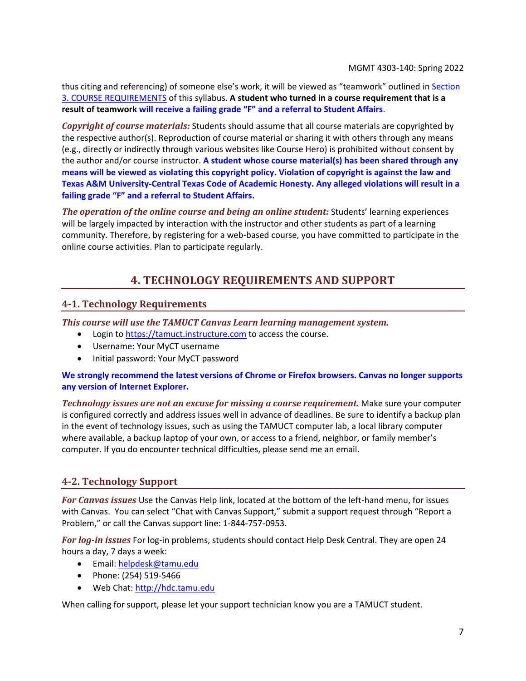thus citing and referencing) of someone else's work, it will be viewed as "teamwork" outlined in [Section](#page-2-0)  [3. COURSE REQUIREMENTS](#page-2-0) of this syllabus. **A student who turned in a course requirement that is a result of teamwork will receive a failing grade "F" and a referral to Student Affairs**.

*Copyright of course materials:* Students should assume that all course materials are copyrighted by the respective author(s). Reproduction of course material or sharing it with others through any means (e.g., directly or indirectly through various websites like Course Hero) is prohibited without consent by the author and/or course instructor. **A student whose course material(s) has been shared through any means will be viewed as violating this copyright policy. Violation of copyright is against the law and Texas A&M University-Central Texas Code of Academic Honesty. Any alleged violations will result in a failing grade "F" and a referral to Student Affairs.**

<span id="page-6-1"></span>*The operation of the online course and being an online student:* Students' learning experiences will be largely impacted by interaction with the instructor and other students as part of a learning community. Therefore, by registering for a web-based course, you have committed to participate in the online course activities. Plan to participate regularly.

## **4. TECHNOLOGY REQUIREMENTS AND SUPPORT**

## <span id="page-6-0"></span>**4-1. Technology Requirements**

*This course will use the TAMUCT Canvas Learn learning management system.*

- Login to [https://tamuct.instructure.com](https://tamuct.instructure.com/) to access the course.
- Username: Your MyCT username
- Initial password: Your MyCT password

#### **We strongly recommend the latest versions of Chrome or Firefox browsers. Canvas no longer supports any version of Internet Explorer.**

*Technology issues are not an excuse for missing a course requirement.* Make sure your computer is configured correctly and address issues well in advance of deadlines. Be sure to identify a backup plan in the event of technology issues, such as using the TAMUCT computer lab, a local library computer where available, a backup laptop of your own, or access to a friend, neighbor, or family member's computer. If you do encounter technical difficulties, please send me an email.

## **4-2. Technology Support**

*For Canvas issues* Use the Canvas Help link, located at the bottom of the left-hand menu, for issues with Canvas. You can select "Chat with Canvas Support," submit a support request through "Report a Problem," or call the Canvas support line: 1-844-757-0953.

*For log-in issues* For log-in problems, students should contact Help Desk Central. They are open 24 hours a day, 7 days a week:

- Email: [helpdesk@tamu.edu](mailto:helpdesk@tamu.edu)
- Phone: (254) 519-5466
- Web Chat[: http://hdc.tamu.edu](http://hdc.tamu.edu/)

When calling for support, please let your support technician know you are a TAMUCT student.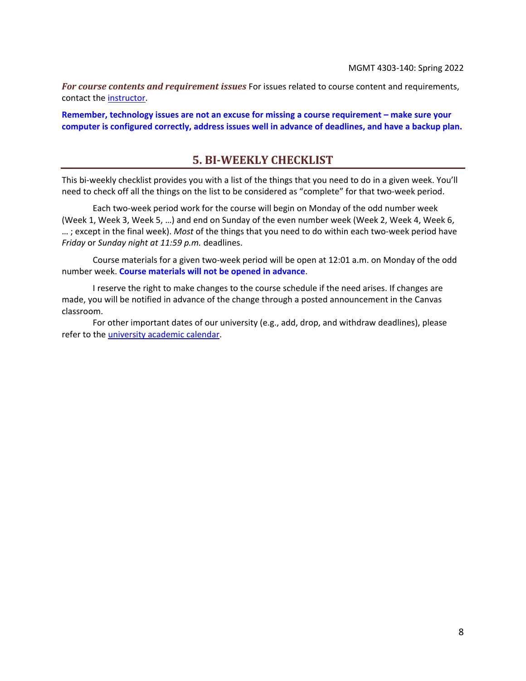*For course contents and requirement issues* For issues related to course content and requirements, contact the [instructor.](#page-0-0)

<span id="page-7-0"></span>**Remember, technology issues are not an excuse for missing a course requirement – make sure your computer is configured correctly, address issues well in advance of deadlines, and have a backup plan.**

## **5. BI-WEEKLY CHECKLIST**

This bi-weekly checklist provides you with a list of the things that you need to do in a given week. You'll need to check off all the things on the list to be considered as "complete" for that two-week period.

Each two-week period work for the course will begin on Monday of the odd number week (Week 1, Week 3, Week 5, …) and end on Sunday of the even number week (Week 2, Week 4, Week 6, … ; except in the final week). *Most* of the things that you need to do within each two-week period have *Friday* or *Sunday night at 11:59 p.m.* deadlines.

Course materials for a given two-week period will be open at 12:01 a.m. on Monday of the odd number week. **Course materials will not be opened in advance**.

I reserve the right to make changes to the course schedule if the need arises. If changes are made, you will be notified in advance of the change through a posted announcement in the Canvas classroom.

For other important dates of our university (e.g., add, drop, and withdraw deadlines), please refer to the [university academic calendar.](http://catalog.tamuct.edu/undergraduate_catalog/general-information/academic20calendars20and20final20exam20schedule/)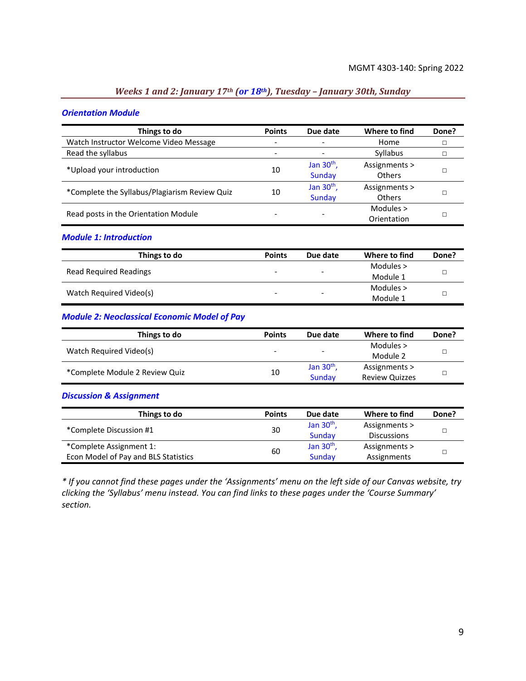## *Weeks 1 and 2: January 17th (or 18th), Tuesday – January 30th, Sunday*

#### *Orientation Module*

| Things to do                                  | <b>Points</b>            | Due date                      | Where to find                  | Done? |
|-----------------------------------------------|--------------------------|-------------------------------|--------------------------------|-------|
| Watch Instructor Welcome Video Message        | ۰                        | $\overline{\phantom{a}}$      | Home                           |       |
| Read the syllabus                             | $\overline{\phantom{a}}$ | $\overline{\phantom{a}}$      | Syllabus                       |       |
| *Upload your introduction                     | 10                       | Jan $30th$ ,<br><b>Sunday</b> | Assignments ><br><b>Others</b> |       |
| *Complete the Syllabus/Plagiarism Review Quiz | 10                       | Jan $30th$ ,<br>Sunday        | Assignments ><br><b>Others</b> |       |
| Read posts in the Orientation Module          |                          |                               | Modules $>$<br>Orientation     |       |

#### *Module 1: Introduction*

| Things to do                  | <b>Points</b>            | Due date                 | Where to find | Done? |
|-------------------------------|--------------------------|--------------------------|---------------|-------|
|                               | $\overline{\phantom{0}}$ | $\overline{\phantom{a}}$ | Modules >     |       |
| <b>Read Required Readings</b> |                          |                          | Module 1      |       |
|                               | $\overline{\phantom{0}}$ | $\overline{\phantom{0}}$ | Modules $>$   |       |
| Watch Required Video(s)       |                          |                          | Module 1      |       |

#### *Module 2: Neoclassical Economic Model of Pay*

| Things to do                   | <b>Points</b>            | Due date                     | Where to find         | Done? |
|--------------------------------|--------------------------|------------------------------|-----------------------|-------|
|                                |                          |                              | Modules $>$           |       |
| Watch Required Video(s)        | $\overline{\phantom{a}}$ | $\qquad \qquad \blacksquare$ | Module 2              |       |
|                                |                          | Jan $30th$ ,                 | Assignments >         |       |
| *Complete Module 2 Review Quiz | 10                       | Sunday                       | <b>Review Quizzes</b> |       |

#### *Discussion & Assignment*

| Things to do                         | <b>Points</b> | Due date     | Where to find      | Done? |
|--------------------------------------|---------------|--------------|--------------------|-------|
| *Complete Discussion #1              | 30            | Jan $30th$ , | Assignments >      |       |
|                                      |               | Sunday       | <b>Discussions</b> |       |
| *Complete Assignment 1:              |               | Jan $30th$ , | Assignments >      |       |
| Econ Model of Pay and BLS Statistics | 60            | Sunday       | Assignments        |       |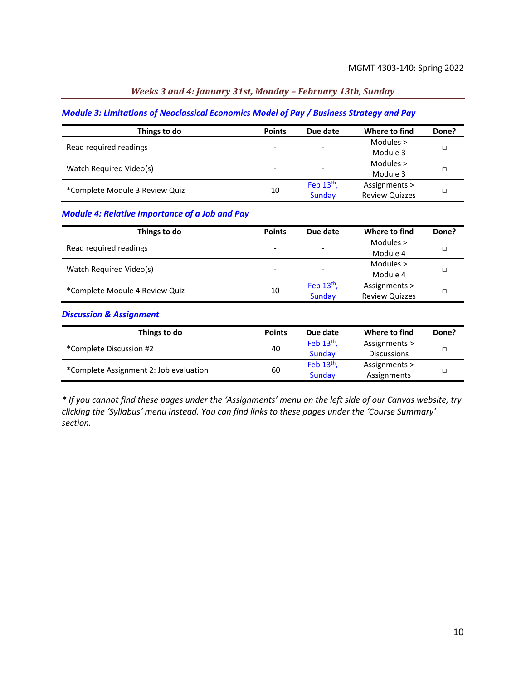#### *Weeks 3 and 4: January 31st, Monday – February 13th, Sunday*

#### *Module 3: Limitations of Neoclassical Economics Model of Pay / Business Strategy and Pay*

| Things to do                   | <b>Points</b> | Due date                 | Where to find         | Done? |
|--------------------------------|---------------|--------------------------|-----------------------|-------|
| Read required readings         | -             | -                        | Modules $>$           |       |
|                                |               |                          | Module 3              |       |
| Watch Required Video(s)        | -             | $\overline{\phantom{a}}$ | Modules $>$           |       |
|                                |               |                          | Module 3              |       |
| *Complete Module 3 Review Quiz | 10            | Feb $13th$ ,             | Assignments >         |       |
|                                |               | Sunday                   | <b>Review Quizzes</b> |       |

### *Module 4: Relative Importance of a Job and Pay*

| Things to do                   | <b>Points</b>            | Due date     | Where to find         | Done? |
|--------------------------------|--------------------------|--------------|-----------------------|-------|
| Read required readings         |                          |              | Modules $>$           |       |
|                                | $\overline{\phantom{0}}$ | -            | Module 4              |       |
|                                |                          |              | Modules $>$           |       |
| Watch Required Video(s)        |                          | -            | Module 4              |       |
|                                |                          | Feb $13th$ , | Assignments >         |       |
| *Complete Module 4 Review Quiz | 10                       | Sunday       | <b>Review Quizzes</b> |       |

#### *Discussion & Assignment*

| Things to do                           | <b>Points</b> | Due date     | Where to find      | Done? |
|----------------------------------------|---------------|--------------|--------------------|-------|
| *Complete Discussion #2                | 40            | Feb $13th$ , | Assignments >      |       |
|                                        |               | Sunday       | <b>Discussions</b> |       |
| *Complete Assignment 2: Job evaluation | 60            | Feb $13th$ , | Assignments >      |       |
|                                        |               | Sunday       | Assignments        |       |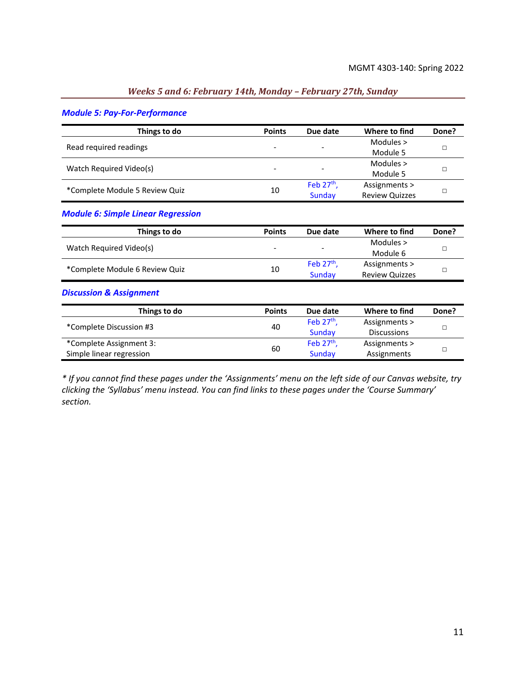#### *Weeks 5 and 6: February 14th, Monday – February 27th, Sunday*

#### *Module 5: Pay-For-Performance*

| Things to do                   | <b>Points</b>            | Due date                 | Where to find         | Done? |
|--------------------------------|--------------------------|--------------------------|-----------------------|-------|
| Read required readings         |                          |                          | Modules $>$           |       |
|                                | $\overline{\phantom{a}}$ | -                        | Module 5              |       |
| Watch Required Video(s)        | $\overline{\phantom{a}}$ | $\overline{\phantom{0}}$ | Modules $>$           |       |
|                                |                          |                          | Module 5              |       |
| *Complete Module 5 Review Quiz | 10                       | Feb $27th$ ,             | Assignments >         |       |
|                                |                          | Sunday                   | <b>Review Quizzes</b> |       |

#### *Module 6: Simple Linear Regression*

| Things to do                   | <b>Points</b>            | Due date          | Where to find         | Done? |
|--------------------------------|--------------------------|-------------------|-----------------------|-------|
| Watch Required Video(s)        | $\overline{\phantom{a}}$ | $\qquad \qquad -$ | Modules >             |       |
|                                |                          |                   | Module 6              |       |
|                                |                          | Feb $27th$ .      | Assignments >         |       |
| *Complete Module 6 Review Quiz | 10                       | Sunday            | <b>Review Quizzes</b> |       |

#### *Discussion & Assignment*

| Things to do             | <b>Points</b> | Due date     | Where to find      | Done? |
|--------------------------|---------------|--------------|--------------------|-------|
| *Complete Discussion #3  | 40            | Feb $27th$ . | Assignments >      |       |
|                          |               | Sunday       | <b>Discussions</b> |       |
| *Complete Assignment 3:  | 60            | Feb $27th$ , | Assignments >      |       |
| Simple linear regression |               | Sunday       | Assignments        |       |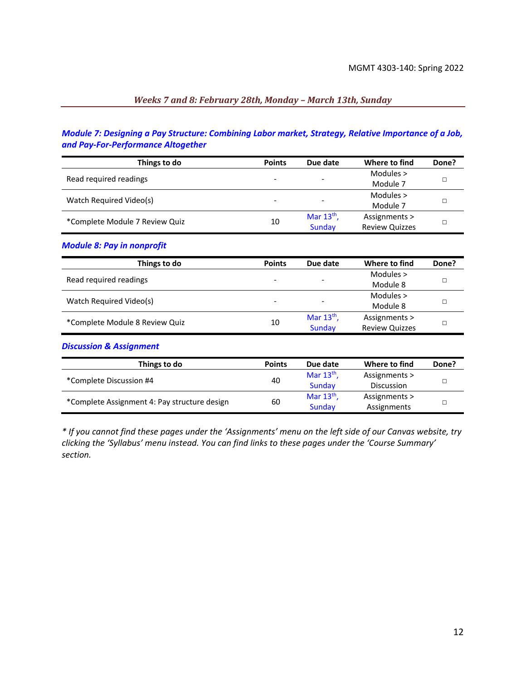## *Weeks 7 and 8: February 28th, Monday – March 13th, Sunday*

### *Module 7: Designing a Pay Structure: Combining Labor market, Strategy, Relative Importance of a Job, and Pay-For-Performance Altogether*

| Things to do                   | <b>Points</b>            | Due date                 | Where to find         | Done? |
|--------------------------------|--------------------------|--------------------------|-----------------------|-------|
| Read required readings         |                          |                          | Modules $>$           |       |
|                                | $\overline{\phantom{0}}$ | $\overline{\phantom{a}}$ | Module 7              |       |
| Watch Required Video(s)        |                          |                          | Modules $>$           |       |
|                                | -                        | $\overline{\phantom{a}}$ | Module 7              |       |
| *Complete Module 7 Review Quiz | 10                       | Mar $13th$ ,             | Assignments >         |       |
|                                |                          | Sunday                   | <b>Review Quizzes</b> |       |

#### *Module 8: Pay in nonprofit*

| Things to do                   | <b>Points</b> | Due date                 | Where to find         | Done? |
|--------------------------------|---------------|--------------------------|-----------------------|-------|
| Read required readings         |               |                          | Modules $>$           |       |
|                                |               | $\overline{\phantom{a}}$ | Module 8              |       |
|                                |               |                          | Modules $>$           |       |
| Watch Required Video(s)        | -             | -                        | Module 8              |       |
| *Complete Module 8 Review Quiz |               | Mar $13th$ ,             | Assignments >         |       |
|                                | 10            | Sunday                   | <b>Review Quizzes</b> |       |

#### *Discussion & Assignment*

| Things to do                                 | <b>Points</b> | Due date     | Where to find | Done? |
|----------------------------------------------|---------------|--------------|---------------|-------|
| *Complete Discussion #4                      | 40            | Mar $13th$ , | Assignments > |       |
|                                              |               | Sunday       | Discussion    |       |
| *Complete Assignment 4: Pay structure design | 60            | Mar $13th$ , | Assignments > |       |
|                                              |               | Sunday       | Assignments   |       |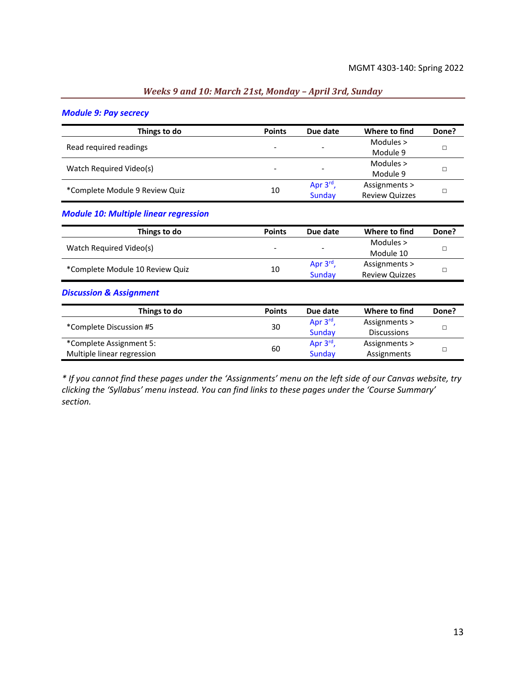#### *Weeks 9 and 10: March 21st, Monday – April 3rd, Sunday*

#### *Module 9: Pay secrecy*

| Things to do                   | <b>Points</b>            | Due date                 | Where to find         | Done? |
|--------------------------------|--------------------------|--------------------------|-----------------------|-------|
| Read required readings         |                          |                          | Modules $>$           |       |
|                                | -                        | $\overline{\phantom{a}}$ | Module 9              |       |
| Watch Required Video(s)        | $\overline{\phantom{a}}$ | $\overline{\phantom{a}}$ | Modules $>$           |       |
|                                |                          |                          | Module 9              |       |
| *Complete Module 9 Review Quiz | 10                       | Apr $3^{\text{rd}}$ ,    | Assignments >         |       |
|                                |                          | Sunday                   | <b>Review Quizzes</b> |       |

#### *Module 10: Multiple linear regression*

| Things to do                    | <b>Points</b>            | Due date                 | Where to find         | Done? |
|---------------------------------|--------------------------|--------------------------|-----------------------|-------|
| Watch Required Video(s)         | $\overline{\phantom{a}}$ | $\overline{\phantom{a}}$ | Modules $>$           |       |
|                                 |                          |                          | Module 10             |       |
| *Complete Module 10 Review Quiz | 10                       | Apr $3^{\text{rd}}$ ,    | Assignments >         |       |
|                                 |                          | Sunday                   | <b>Review Quizzes</b> |       |

#### *Discussion & Assignment*

| Things to do               | <b>Points</b> | Due date              | Where to find      | Done? |
|----------------------------|---------------|-----------------------|--------------------|-------|
| *Complete Discussion #5    | 30            | Apr $3^{\text{rd}}$ , | Assignments >      |       |
|                            |               | Sunday                | <b>Discussions</b> |       |
| *Complete Assignment 5:    | 60            | Apr $3rd$ ,           | Assignments >      |       |
| Multiple linear regression |               | Sunday                | Assignments        |       |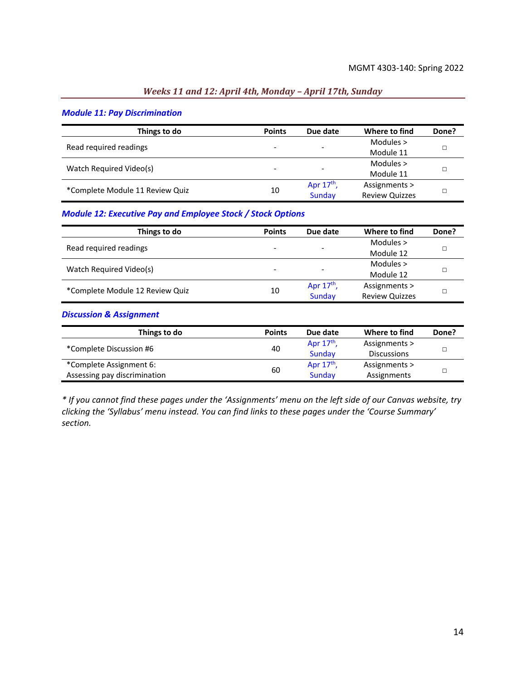#### *Weeks 11 and 12: April 4th, Monday – April 17th, Sunday*

#### *Module 11: Pay Discrimination*

| Things to do                    | <b>Points</b>            | Due date                 | Where to find         | Done? |
|---------------------------------|--------------------------|--------------------------|-----------------------|-------|
| Read required readings          |                          |                          | Modules $>$           |       |
|                                 | $\overline{\phantom{a}}$ | $\overline{\phantom{a}}$ | Module 11             |       |
| Watch Required Video(s)         | -                        | $\overline{\phantom{a}}$ | Modules $>$           |       |
|                                 |                          |                          | Module 11             |       |
| *Complete Module 11 Review Quiz | 10                       | Apr $17th$ ,             | Assignments >         |       |
|                                 |                          | Sunday                   | <b>Review Quizzes</b> |       |

#### *Module 12: Executive Pay and Employee Stock / Stock Options*

| Things to do                    | <b>Points</b> | Due date                 | Where to find         | Done? |
|---------------------------------|---------------|--------------------------|-----------------------|-------|
| Read required readings          |               |                          | Modules $>$           |       |
|                                 |               | $\overline{\phantom{a}}$ | Module 12             |       |
| Watch Required Video(s)         |               | $\overline{\phantom{a}}$ | Modules $>$           |       |
|                                 |               |                          | Module 12             |       |
|                                 |               | Apr $17th$ ,             | Assignments >         |       |
| *Complete Module 12 Review Quiz | 10            | Sunday                   | <b>Review Quizzes</b> |       |

#### *Discussion & Assignment*

| Things to do                 | <b>Points</b> | Due date     | Where to find      | Done? |
|------------------------------|---------------|--------------|--------------------|-------|
| *Complete Discussion #6      | 40            | Apr $17th$ , | Assignments >      |       |
|                              |               | Sunday       | <b>Discussions</b> |       |
| *Complete Assignment 6:      |               | Apr $17th$ , | Assignments >      |       |
| Assessing pay discrimination | 60            | Sunday       | Assignments        |       |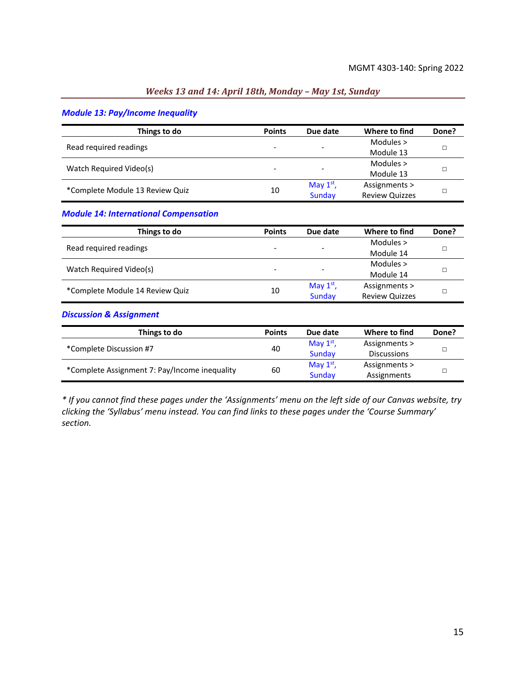#### *Weeks 13 and 14: April 18th, Monday – May 1st, Sunday*

#### *Module 13: Pay/Income Inequality*

| Things to do                    | <b>Points</b>            | Due date                 | Where to find         | Done? |
|---------------------------------|--------------------------|--------------------------|-----------------------|-------|
| Read required readings          |                          |                          | Modules $>$           |       |
|                                 | $\overline{\phantom{a}}$ | $\overline{\phantom{0}}$ | Module 13             |       |
| Watch Required Video(s)         | $\overline{\phantom{a}}$ | $\overline{\phantom{a}}$ | Modules $>$           |       |
|                                 |                          |                          | Module 13             |       |
| *Complete Module 13 Review Quiz | 10                       | May $1st$ ,              | Assignments >         |       |
|                                 |                          | Sunday                   | <b>Review Quizzes</b> |       |

#### *Module 14: International Compensation*

| Things to do                    | <b>Points</b>            | Due date                 | Where to find         | Done? |
|---------------------------------|--------------------------|--------------------------|-----------------------|-------|
| Read required readings          |                          |                          | Modules $>$           |       |
|                                 | $\overline{\phantom{0}}$ | $\overline{\phantom{a}}$ | Module 14             |       |
| Watch Required Video(s)         |                          | $\overline{\phantom{a}}$ | Modules $>$           |       |
|                                 |                          |                          | Module 14             |       |
| *Complete Module 14 Review Quiz |                          | May $1st$ ,              | Assignments >         |       |
|                                 | 10                       | Sunday                   | <b>Review Quizzes</b> |       |

#### *Discussion & Assignment*

| Things to do                                  | <b>Points</b> | Due date    | Where to find      | Done? |
|-----------------------------------------------|---------------|-------------|--------------------|-------|
| *Complete Discussion #7                       | 40            | May $1st$ , | Assignments >      |       |
|                                               |               | Sunday      | <b>Discussions</b> |       |
| *Complete Assignment 7: Pay/Income inequality | 60            | May $1st$ , | Assignments >      |       |
|                                               |               | Sunday      | Assignments        |       |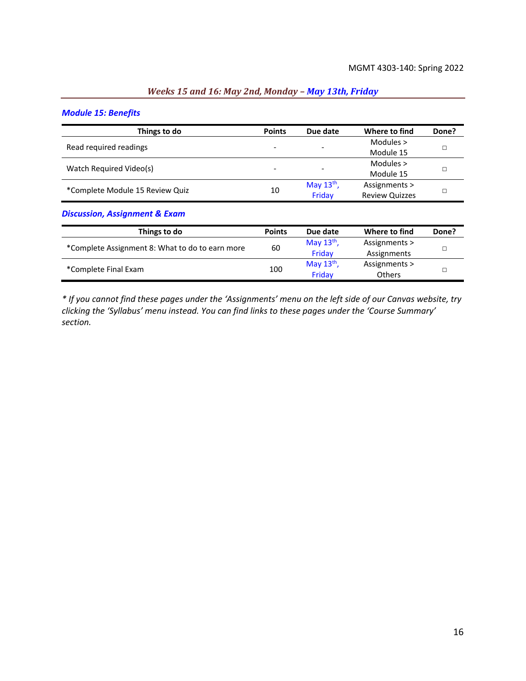## *Weeks 15 and 16: May 2nd, Monday – May 13th, Friday*

#### *Module 15: Benefits*

| Things to do                    | <b>Points</b>            | Due date                 | Where to find         | Done? |
|---------------------------------|--------------------------|--------------------------|-----------------------|-------|
| Read required readings          |                          |                          | Modules $>$           |       |
|                                 | $\overline{\phantom{0}}$ | $\overline{\phantom{0}}$ | Module 15             |       |
| Watch Required Video(s)         | -                        | $\overline{\phantom{0}}$ | Modules $>$           |       |
|                                 |                          |                          | Module 15             |       |
| *Complete Module 15 Review Quiz | 10                       | May $13th$ ,             | Assignments >         |       |
|                                 |                          | Friday                   | <b>Review Quizzes</b> |       |

#### *Discussion, Assignment & Exam*

| Things to do                                    | <b>Points</b> | Due date     | Where to find | Done? |  |
|-------------------------------------------------|---------------|--------------|---------------|-------|--|
|                                                 | 60            | May $13th$ , | Assignments > |       |  |
| *Complete Assignment 8: What to do to earn more |               | Fridav       | Assignments   |       |  |
|                                                 | 100           | May $13th$ , | Assignments > |       |  |
| *Complete Final Exam                            |               | Fridav       | <b>Others</b> |       |  |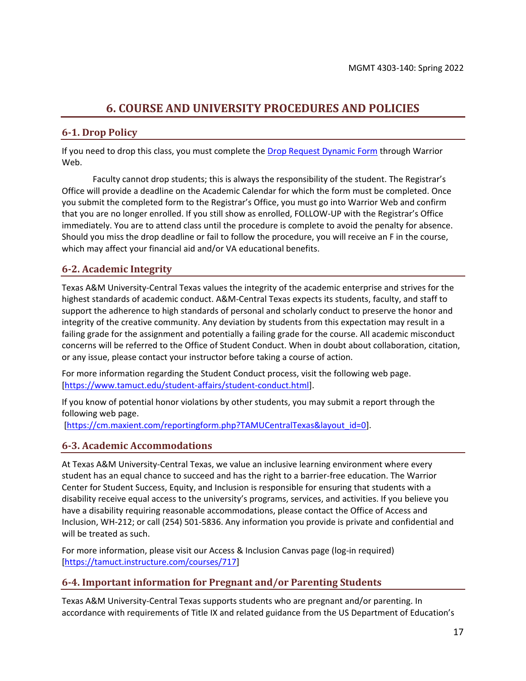## **6. COURSE AND UNIVERSITY PROCEDURES AND POLICIES**

### <span id="page-16-0"></span>**6-1. Drop Policy**

If you need to drop this class, you must complete the [Drop Request Dynamic Form](https://dynamicforms.ngwebsolutions.com/casAuthentication.ashx?InstID=eaed95b9-f2be-45f3-a37d-46928168bc10&targetUrl=https%3A%2F%2Fdynamicforms.ngwebsolutions.com%2FSubmit%2FForm%2FStart%2F53b8369e-0502-4f36-be43-f02a4202f612) through Warrior Web.

Faculty cannot drop students; this is always the responsibility of the student. The Registrar's Office will provide a deadline on the Academic Calendar for which the form must be completed. Once you submit the completed form to the Registrar's Office, you must go into Warrior Web and confirm that you are no longer enrolled. If you still show as enrolled, FOLLOW-UP with the Registrar's Office immediately. You are to attend class until the procedure is complete to avoid the penalty for absence. Should you miss the drop deadline or fail to follow the procedure, you will receive an F in the course, which may affect your financial aid and/or VA educational benefits.

### **6-2. Academic Integrity**

Texas A&M University-Central Texas values the integrity of the academic enterprise and strives for the highest standards of academic conduct. A&M-Central Texas expects its students, faculty, and staff to support the adherence to high standards of personal and scholarly conduct to preserve the honor and integrity of the creative community. Any deviation by students from this expectation may result in a failing grade for the assignment and potentially a failing grade for the course. All academic misconduct concerns will be referred to the Office of Student Conduct. When in doubt about collaboration, citation, or any issue, please contact your instructor before taking a course of action.

For more information regarding the Student Conduct process, visit the following web page. [\[https://www.tamuct.edu/student-affairs/student-conduct.html\]](https://www.tamuct.edu/student-affairs/student-conduct.html).

If you know of potential honor violations by other students, you may submit a report through the following web page.

[\[https://cm.maxient.com/reportingform.php?TAMUCentralTexas&layout\\_id=0\]](https://cm.maxient.com/reportingform.php?TAMUCentralTexas&layout_id=0).

#### **6-3. Academic Accommodations**

At Texas A&M University-Central Texas, we value an inclusive learning environment where every student has an equal chance to succeed and has the right to a barrier-free education. The Warrior Center for Student Success, Equity, and Inclusion is responsible for ensuring that students with a disability receive equal access to the university's programs, services, and activities. If you believe you have a disability requiring reasonable accommodations, please contact the Office of Access and Inclusion, WH-212; or call (254) 501-5836. Any information you provide is private and confidential and will be treated as such.

For more information, please visit our Access & Inclusion Canvas page (log-in required) [\[https://tamuct.instructure.com/courses/717\]](https://tamuct.instructure.com/courses/717)

#### **6-4. Important information for Pregnant and/or Parenting Students**

Texas A&M University-Central Texas supports students who are pregnant and/or parenting. In accordance with requirements of Title IX and related guidance from the US Department of Education's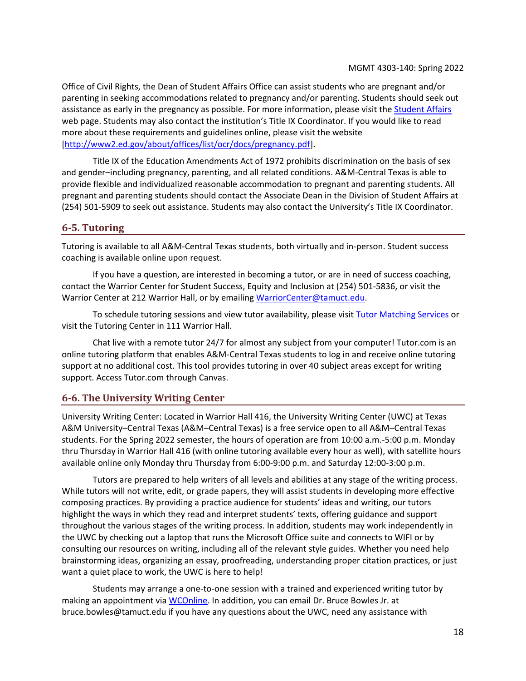Office of Civil Rights, the Dean of Student Affairs Office can assist students who are pregnant and/or parenting in seeking accommodations related to pregnancy and/or parenting. Students should seek out assistance as early in the pregnancy as possible. For more information, please visit the [Student Affairs](https://www.tamuct.edu/student-affairs/index.html) web page. Students may also contact the institution's Title IX Coordinator. If you would like to read more about these requirements and guidelines online, please visit the website [\[http://www2.ed.gov/about/offices/list/ocr/docs/pregnancy.pdf\]](http://www2.ed.gov/about/offices/list/ocr/docs/pregnancy.pdf).

Title IX of the Education Amendments Act of 1972 prohibits discrimination on the basis of sex and gender–including pregnancy, parenting, and all related conditions. A&M-Central Texas is able to provide flexible and individualized reasonable accommodation to pregnant and parenting students. All pregnant and parenting students should contact the Associate Dean in the Division of Student Affairs at (254) 501-5909 to seek out assistance. Students may also contact the University's Title IX Coordinator.

#### **6-5. Tutoring**

Tutoring is available to all A&M-Central Texas students, both virtually and in-person. Student success coaching is available online upon request.

If you have a question, are interested in becoming a tutor, or are in need of success coaching, contact the Warrior Center for Student Success, Equity and Inclusion at (254) 501-5836, or visit the Warrior Center at 212 Warrior Hall, or by emailing [WarriorCenter@tamuct.edu.](mailto:WarriorCenter@tamuct.edu)

To schedule tutoring sessions and view tutor availability, please visi[t Tutor Matching Services](https://tutormatchingservice.com/TAMUCT) or visit the Tutoring Center in 111 Warrior Hall.

Chat live with a remote tutor 24/7 for almost any subject from your computer! Tutor.com is an online tutoring platform that enables A&M-Central Texas students to log in and receive online tutoring support at no additional cost. This tool provides tutoring in over 40 subject areas except for writing support. Access Tutor.com through Canvas.

#### **6-6. The University Writing Center**

University Writing Center: Located in Warrior Hall 416, the University Writing Center (UWC) at Texas A&M University–Central Texas (A&M–Central Texas) is a free service open to all A&M–Central Texas students. For the Spring 2022 semester, the hours of operation are from 10:00 a.m.-5:00 p.m. Monday thru Thursday in Warrior Hall 416 (with online tutoring available every hour as well), with satellite hours available online only Monday thru Thursday from 6:00-9:00 p.m. and Saturday 12:00-3:00 p.m.

Tutors are prepared to help writers of all levels and abilities at any stage of the writing process. While tutors will not write, edit, or grade papers, they will assist students in developing more effective composing practices. By providing a practice audience for students' ideas and writing, our tutors highlight the ways in which they read and interpret students' texts, offering guidance and support throughout the various stages of the writing process. In addition, students may work independently in the UWC by checking out a laptop that runs the Microsoft Office suite and connects to WIFI or by consulting our resources on writing, including all of the relevant style guides. Whether you need help brainstorming ideas, organizing an essay, proofreading, understanding proper citation practices, or just want a quiet place to work, the UWC is here to help!

Students may arrange a one-to-one session with a trained and experienced writing tutor by making an appointment vi[a WCOnline.](https://tamuct.mywconline.com/) In addition, you can email Dr. Bruce Bowles Jr. at bruce.bowles@tamuct.edu if you have any questions about the UWC, need any assistance with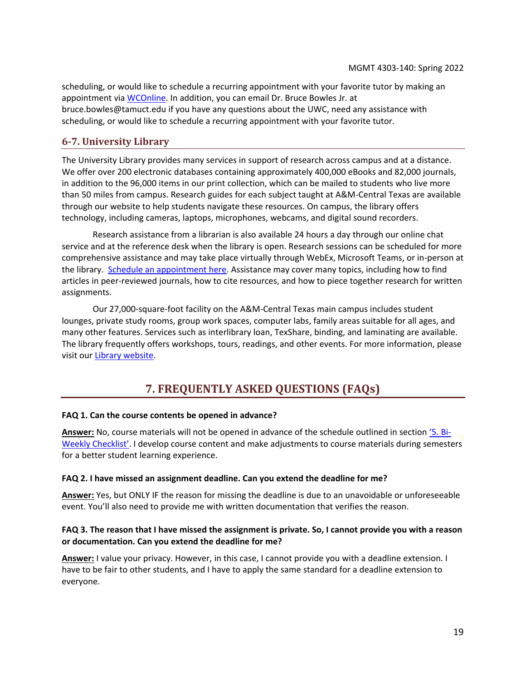scheduling, or would like to schedule a recurring appointment with your favorite tutor by making an appointment via [WCOnline.](https://tamuct.mywconline.com/) In addition, you can email Dr. Bruce Bowles Jr. at bruce.bowles@tamuct.edu if you have any questions about the UWC, need any assistance with scheduling, or would like to schedule a recurring appointment with your favorite tutor.

## **6-7. University Library**

The University Library provides many services in support of research across campus and at a distance. We offer over 200 electronic databases containing approximately 400,000 eBooks and 82,000 journals, in addition to the 96,000 items in our print collection, which can be mailed to students who live more than 50 miles from campus. Research guides for each subject taught at A&M-Central Texas are available through our website to help students navigate these resources. On campus, the library offers technology, including cameras, laptops, microphones, webcams, and digital sound recorders.

Research assistance from a librarian is also available 24 hours a day through our online chat service and at the reference desk when the library is open. Research sessions can be scheduled for more comprehensive assistance and may take place virtually through WebEx, Microsoft Teams, or in-person at the library. [Schedule an appointment here.](https://tamuct.libcal.com/appointments/?g=6956) Assistance may cover many topics, including how to find articles in peer-reviewed journals, how to cite resources, and how to piece together research for written assignments.

Our 27,000-square-foot facility on the A&M-Central Texas main campus includes student lounges, private study rooms, group work spaces, computer labs, family areas suitable for all ages, and many other features. Services such as interlibrary loan, TexShare, binding, and laminating are available. The library frequently offers workshops, tours, readings, and other events. For more information, please visit our [Library website.](http://tamuct.libguides.com/index)

## **7. FREQUENTLY ASKED QUESTIONS (FAQs)**

#### <span id="page-18-0"></span>**FAQ 1. Can the course contents be opened in advance?**

**Answer:** No, course materials will not be opened in advance of the schedule outlined in section '5[. Bi-](#page-7-0)[Weekly Checklist'](#page-7-0). I develop course content and make adjustments to course materials during semesters for a better student learning experience.

#### **FAQ 2. I have missed an assignment deadline. Can you extend the deadline for me?**

**Answer:** Yes, but ONLY IF the reason for missing the deadline is due to an unavoidable or unforeseeable event. You'll also need to provide me with written documentation that verifies the reason.

#### **FAQ 3. The reason that I have missed the assignment is private. So, I cannot provide you with a reason or documentation. Can you extend the deadline for me?**

**Answer:** I value your privacy. However, in this case, I cannot provide you with a deadline extension. I have to be fair to other students, and I have to apply the same standard for a deadline extension to everyone.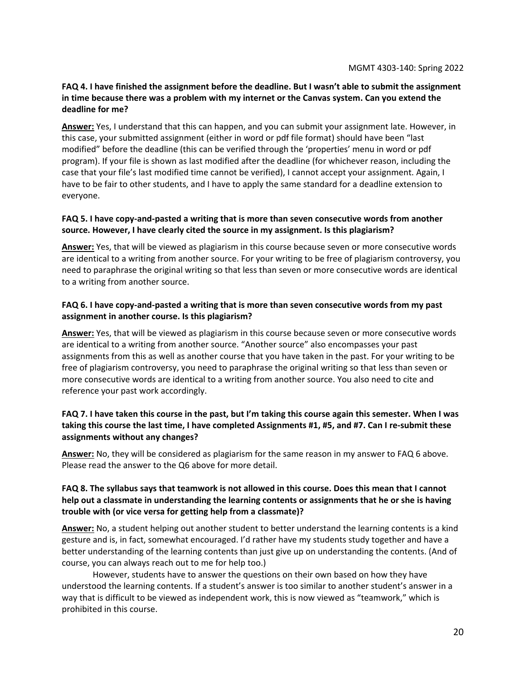#### **FAQ 4. I have finished the assignment before the deadline. But I wasn't able to submit the assignment in time because there was a problem with my internet or the Canvas system. Can you extend the deadline for me?**

**Answer:** Yes, I understand that this can happen, and you can submit your assignment late. However, in this case, your submitted assignment (either in word or pdf file format) should have been "last modified" before the deadline (this can be verified through the 'properties' menu in word or pdf program). If your file is shown as last modified after the deadline (for whichever reason, including the case that your file's last modified time cannot be verified), I cannot accept your assignment. Again, I have to be fair to other students, and I have to apply the same standard for a deadline extension to everyone.

#### **FAQ 5. I have copy-and-pasted a writing that is more than seven consecutive words from another source. However, I have clearly cited the source in my assignment. Is this plagiarism?**

**Answer:** Yes, that will be viewed as plagiarism in this course because seven or more consecutive words are identical to a writing from another source. For your writing to be free of plagiarism controversy, you need to paraphrase the original writing so that less than seven or more consecutive words are identical to a writing from another source.

#### **FAQ 6. I have copy-and-pasted a writing that is more than seven consecutive words from my past assignment in another course. Is this plagiarism?**

**Answer:** Yes, that will be viewed as plagiarism in this course because seven or more consecutive words are identical to a writing from another source. "Another source" also encompasses your past assignments from this as well as another course that you have taken in the past. For your writing to be free of plagiarism controversy, you need to paraphrase the original writing so that less than seven or more consecutive words are identical to a writing from another source. You also need to cite and reference your past work accordingly.

#### **FAQ 7. I have taken this course in the past, but I'm taking this course again this semester. When I was taking this course the last time, I have completed Assignments #1, #5, and #7. Can I re-submit these assignments without any changes?**

**Answer:** No, they will be considered as plagiarism for the same reason in my answer to FAQ 6 above. Please read the answer to the Q6 above for more detail.

#### **FAQ 8. The syllabus says that teamwork is not allowed in this course. Does this mean that I cannot help out a classmate in understanding the learning contents or assignments that he or she is having trouble with (or vice versa for getting help from a classmate)?**

**Answer:** No, a student helping out another student to better understand the learning contents is a kind gesture and is, in fact, somewhat encouraged. I'd rather have my students study together and have a better understanding of the learning contents than just give up on understanding the contents. (And of course, you can always reach out to me for help too.)

However, students have to answer the questions on their own based on how they have understood the learning contents. If a student's answer is too similar to another student's answer in a way that is difficult to be viewed as independent work, this is now viewed as "teamwork," which is prohibited in this course.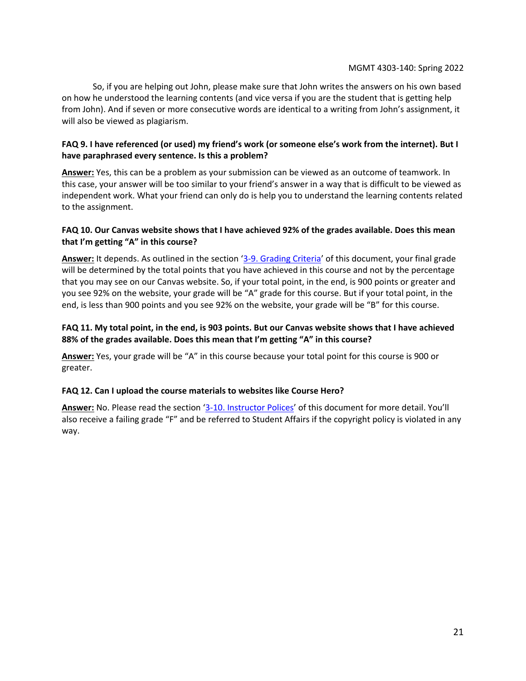So, if you are helping out John, please make sure that John writes the answers on his own based on how he understood the learning contents (and vice versa if you are the student that is getting help from John). And if seven or more consecutive words are identical to a writing from John's assignment, it will also be viewed as plagiarism.

#### **FAQ 9. I have referenced (or used) my friend's work (or someone else's work from the internet). But I have paraphrased every sentence. Is this a problem?**

**Answer:** Yes, this can be a problem as your submission can be viewed as an outcome of teamwork. In this case, your answer will be too similar to your friend's answer in a way that is difficult to be viewed as independent work. What your friend can only do is help you to understand the learning contents related to the assignment.

#### **FAQ 10. Our Canvas website shows that I have achieved 92% of the grades available. Does this mean that I'm getting "A" in this course?**

**Answer:** It depends. As outlined in the section '[3-9. Grading Criteria](#page-4-1)' of this document, your final grade will be determined by the total points that you have achieved in this course and not by the percentage that you may see on our Canvas website. So, if your total point, in the end, is 900 points or greater and you see 92% on the website, your grade will be "A" grade for this course. But if your total point, in the end, is less than 900 points and you see 92% on the website, your grade will be "B" for this course.

#### **FAQ 11. My total point, in the end, is 903 points. But our Canvas website shows that I have achieved 88% of the grades available. Does this mean that I'm getting "A" in this course?**

**Answer:** Yes, your grade will be "A" in this course because your total point for this course is 900 or greater.

#### **FAQ 12. Can I upload the course materials to websites like Course Hero?**

**Answer:** No. Please read the section '[3-10. Instructor Polices](#page-5-0)' of this document for more detail. You'll also receive a failing grade "F" and be referred to Student Affairs if the copyright policy is violated in any way.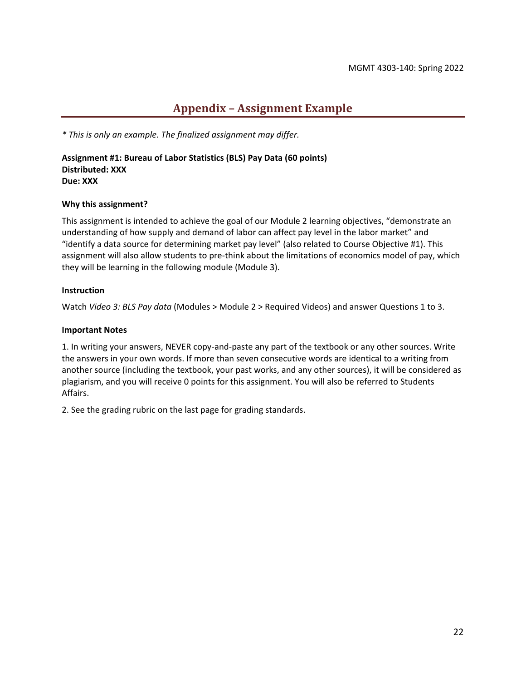## **Appendix – Assignment Example**

<span id="page-21-0"></span>*\* This is only an example. The finalized assignment may differ.*

**Assignment #1: Bureau of Labor Statistics (BLS) Pay Data (60 points) Distributed: XXX Due: XXX**

#### **Why this assignment?**

This assignment is intended to achieve the goal of our Module 2 learning objectives, "demonstrate an understanding of how supply and demand of labor can affect pay level in the labor market" and "identify a data source for determining market pay level" (also related to Course Objective #1). This assignment will also allow students to pre-think about the limitations of economics model of pay, which they will be learning in the following module (Module 3).

#### **Instruction**

Watch *Video 3: BLS Pay data* (Modules > Module 2 > Required Videos) and answer Questions 1 to 3.

#### **Important Notes**

1. In writing your answers, NEVER copy-and-paste any part of the textbook or any other sources. Write the answers in your own words. If more than seven consecutive words are identical to a writing from another source (including the textbook, your past works, and any other sources), it will be considered as plagiarism, and you will receive 0 points for this assignment. You will also be referred to Students Affairs.

2. See the grading rubric on the last page for grading standards.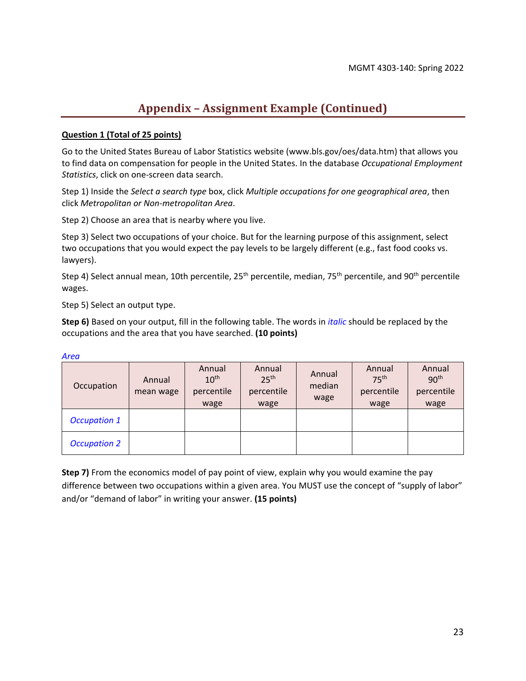## **Appendix – Assignment Example (Continued)**

#### **Question 1 (Total of 25 points)**

Go to the United States Bureau of Labor Statistics website (www.bls.gov/oes/data.htm) that allows you to find data on compensation for people in the United States. In the database *Occupational Employment Statistics*, click on one-screen data search.

Step 1) Inside the *Select a search type* box, click *Multiple occupations for one geographical area*, then click *Metropolitan or Non-metropolitan Area*.

Step 2) Choose an area that is nearby where you live.

Step 3) Select two occupations of your choice. But for the learning purpose of this assignment, select two occupations that you would expect the pay levels to be largely different (e.g., fast food cooks vs. lawyers).

Step 4) Select annual mean, 10th percentile, 25<sup>th</sup> percentile, median, 75<sup>th</sup> percentile, and 90<sup>th</sup> percentile wages.

Step 5) Select an output type.

**Step 6)** Based on your output, fill in the following table. The words in *italic* should be replaced by the occupations and the area that you have searched. **(10 points)**

| Occupation          | Annual<br>mean wage | Annual<br>10 <sup>th</sup><br>percentile<br>wage | Annual<br>25 <sup>th</sup><br>percentile<br>wage | Annual<br>median<br>wage | Annual<br>75 <sup>th</sup><br>percentile<br>wage | Annual<br>90 <sup>th</sup><br>percentile<br>wage |
|---------------------|---------------------|--------------------------------------------------|--------------------------------------------------|--------------------------|--------------------------------------------------|--------------------------------------------------|
| <b>Occupation 1</b> |                     |                                                  |                                                  |                          |                                                  |                                                  |
| <b>Occupation 2</b> |                     |                                                  |                                                  |                          |                                                  |                                                  |

*Area*

**Step 7)** From the economics model of pay point of view, explain why you would examine the pay difference between two occupations within a given area. You MUST use the concept of "supply of labor" and/or "demand of labor" in writing your answer. **(15 points)**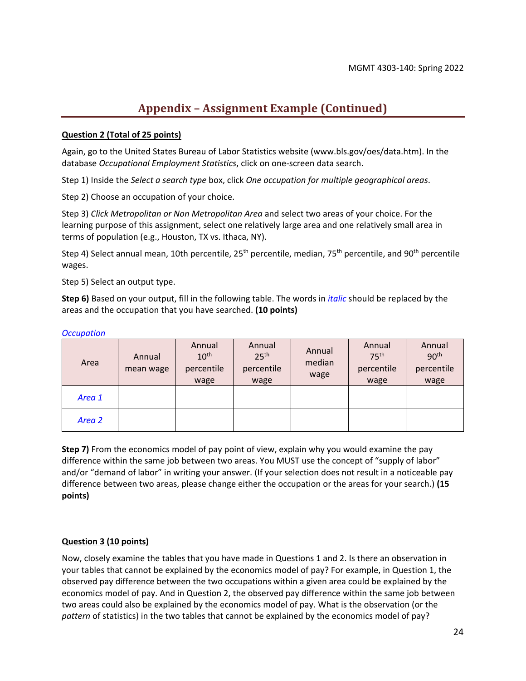## **Appendix – Assignment Example (Continued)**

#### **Question 2 (Total of 25 points)**

Again, go to the United States Bureau of Labor Statistics website (www.bls.gov/oes/data.htm). In the database *Occupational Employment Statistics*, click on one-screen data search.

Step 1) Inside the *Select a search type* box, click *One occupation for multiple geographical areas*.

Step 2) Choose an occupation of your choice.

Step 3) *Click Metropolitan or Non Metropolitan Area* and select two areas of your choice. For the learning purpose of this assignment, select one relatively large area and one relatively small area in terms of population (e.g., Houston, TX vs. Ithaca, NY).

Step 4) Select annual mean, 10th percentile,  $25<sup>th</sup>$  percentile, median, 75<sup>th</sup> percentile, and 90<sup>th</sup> percentile wages.

Step 5) Select an output type.

**Step 6)** Based on your output, fill in the following table. The words in *italic* should be replaced by the areas and the occupation that you have searched. **(10 points)**

| Area   | Annual<br>mean wage | Annual<br>10 <sup>th</sup><br>percentile<br>wage | Annual<br>25 <sup>th</sup><br>percentile<br>wage | Annual<br>median<br>wage | Annual<br>75 <sup>th</sup><br>percentile<br>wage | Annual<br>90 <sup>th</sup><br>percentile<br>wage |  |
|--------|---------------------|--------------------------------------------------|--------------------------------------------------|--------------------------|--------------------------------------------------|--------------------------------------------------|--|
| Area 1 |                     |                                                  |                                                  |                          |                                                  |                                                  |  |
| Area 2 |                     |                                                  |                                                  |                          |                                                  |                                                  |  |

#### *Occupation*

**Step 7)** From the economics model of pay point of view, explain why you would examine the pay difference within the same job between two areas. You MUST use the concept of "supply of labor" and/or "demand of labor" in writing your answer. (If your selection does not result in a noticeable pay difference between two areas, please change either the occupation or the areas for your search.) **(15 points)**

#### **Question 3 (10 points)**

Now, closely examine the tables that you have made in Questions 1 and 2. Is there an observation in your tables that cannot be explained by the economics model of pay? For example, in Question 1, the observed pay difference between the two occupations within a given area could be explained by the economics model of pay. And in Question 2, the observed pay difference within the same job between two areas could also be explained by the economics model of pay. What is the observation (or the *pattern* of statistics) in the two tables that cannot be explained by the economics model of pay?